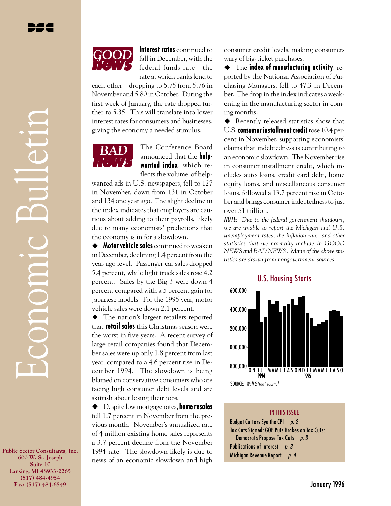Economic Bulletin

**MODODIC** 

Interest rates continued to fall in December, with the federal funds rate—the rate at which banks lend to

each other—dropping to 5.75 from 5.76 in November and 5.80 in October. During the first week of January, the rate dropped further to 5.35. This will translate into lower interest rates for consumers and businesses, giving the economy a needed stimulus.



The Conference Board announced that the **help**wanted index, which reflects the volume of help-

wanted ads in U.S. newspapers, fell to 127 in November, down from 131 in October and 134 one year ago. The slight decline in the index indicates that employers are cautious about adding to their payrolls, likely due to many economists' predictions that the economy is in for a slowdown.

 $\triangleq$  Motor vehicle sales continued to weaken in December, declining 1.4 percent from the year-ago level. Passenger car sales dropped 5.4 percent, while light truck sales rose 4.2 percent. Sales by the Big 3 were down 4 percent compared with a 5 percent gain for Japanese models. For the 1995 year, motor vehicle sales were down 2.1 percent.

 $\blacklozenge$  The nation's largest retailers reported that **retail sales** this Christmas season were the worst in five years. A recent survey of large retail companies found that December sales were up only 1.8 percent from last year, compared to a 4.6 percent rise in December 1994. The slowdown is being blamed on conservative consumers who are facing high consumer debt levels and are skittish about losing their jobs.

 $\triangle$  Despite low mortgage rates, **home resales** fell 1.7 percent in November from the previous month. November's annualized rate of 4 million existing home sales represents a 3.7 percent decline from the November 1994 rate. The slowdown likely is due to news of an economic slowdown and high

consumer credit levels, making consumers wary of big-ticket purchases.

 $\bullet$  The index of manufacturing activity, reported by the National Association of Purchasing Managers, fell to 47.3 in December. The drop in the index indicates a weakening in the manufacturing sector in coming months.

 $\blacklozenge$  Recently released statistics show that U.S. consumer installment credit  $\mathrm{rose}\,10.4$  percent in November, supporting economists' claims that indebtedness is contributing to an economic slowdown. The November rise in consumer installment credit, which includes auto loans, credit card debt, home equity loans, and miscellaneous consumer loans, followed a 13.7 percent rise in October and brings consumer indebtedness to just over \$1 trillion.

NOTE*: Due to the federal government shutdown, we are unable to report the Michigan and U.S. unemployment rates, the inflation rate, and other statistics that we normally include in GOOD NEWS and BAD NEWS. Many of the above statistics are drawn from nongovernment sources.*



IN THIS ISSUE Budget Cutters Eye the CPI p. 2 Tax Cuts Signed; GOP Puts Brakes on Tax Cuts; Democrats Propose Tax Cuts p. 3 Publications of Interest p. 3 Michigan Revenue Report p. 4

**Public Sector Consultants, Inc. 600 W. St. Joseph Suite 10 Lansing, MI 48933-2265 (517) 484-4954 Fax: (517) 484-6549**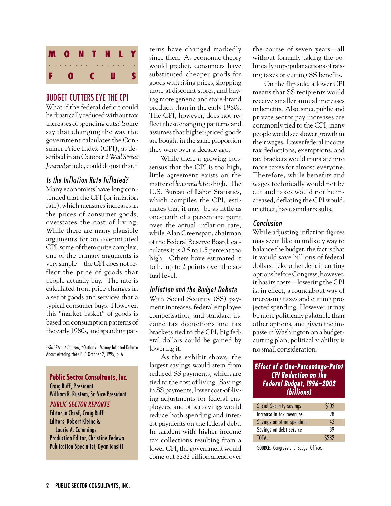

### BUDGET CUTTERS EYE THE CPI

What if the federal deficit could be drastically reduced without tax increases or spending cuts? Some say that changing the way the government calculates the Consumer Price Index (CPI), as described in an October 2 *Wall Street* Journal article, could do just that.<sup>1</sup>

### Is the Inflation Rate Inflated?

Many economists have long contended that the CPI (or inflation rate), which measures increases in the prices of consumer goods, overstates the cost of living. While there are many plausible arguments for an overinflated CPI, some of them quite complex, one of the primary arguments is very simple—the CPI does not reflect the price of goods that people actually buy. The rate is calculated from price changes in a set of goods and services that a typical consumer buys. However, this "market basket" of goods is based on consumption patterns of the early 1980s, and spending pat-

1 Wall Street Journal, "Outlook: Money Inflated Debate About Altering the CPI," October 2, 1995, p. A1.

**Public Sector Consultants, Inc.** Craig Ruff, President William R. Rustem, Sr. Vice President

#### PUBLIC SECTOR REPORTS

Editor in Chief, Craig Ruff Editors, Robert Kleine & Laurie A. Cummings Production Editor, Christine Fedewa Publication Specialist, Dyan Iansiti

terns have changed markedly since then. As economic theory would predict, consumers have substituted cheaper goods for goods with rising prices, shopping more at discount stores, and buying more generic and store-brand products than in the early 1980s. The CPI, however, does not reflect these changing patterns and assumes that higher-priced goods are bought in the same proportion they were over a decade ago.

While there *is* growing consensus that the CPI is too high, little agreement exists on the matter of *how much* too high. The U.S. Bureau of Labor Statistics, which compiles the CPI, estimates that it may be as little as one-tenth of a percentage point over the actual inflation rate, while Alan Greenspan, chairman of the Federal Reserve Board, calculates it is 0.5 to 1.5 percent too high. Others have estimated it to be up to 2 points over the actual level.

### Inflation and the Budget Debate

With Social Security (SS) payment increases, federal employee compensation, and standard income tax deductions and tax brackets tied to the CPI, big federal dollars could be gained by lowering it.

As the exhibit shows, the largest savings would stem from reduced SS payments, which are tied to the cost of living. Savings in SS payments, lower cost-of-living adjustments for federal employees, and other savings would reduce both spending and interest payments on the federal debt. In tandem with higher income tax collections resulting from a lower CPI, the government would come out \$282 billion ahead over the course of seven years—all without formally taking the politically unpopular actions of raising taxes or cutting SS benefits.

On the flip side, a lower CPI means that SS recipients would receive smaller annual increases in benefits. Also, since public and private sector pay increases are commonly tied to the CPI, many people would see slower growth in their wages. Lower federal income tax deductions, exemptions, and tax brackets would translate into more taxes for almost everyone. Therefore, while benefits and wages technically would not be cut and taxes would not be increased, deflating the CPI would, in effect, have similar results.

#### Conclusion

While adjusting inflation figures may seem like an unlikely way to balance the budget, the fact is that it would save billions of federal dollars. Like other deficit-cutting options before Congress, however, it has its costs—lowering the CPI is, in effect, a roundabout way of increasing taxes and cutting projected spending. However, it may be more politically palatable than other options, and given the impasse in Washington on a budgetcutting plan, political viability is no small consideration.

#### **Effect of a One-Percentage-Point** CPI Reduction on the Federal Budget, 1996–2002 (billions)

| Social Security savings   | <b>S102</b> |
|---------------------------|-------------|
| Increase in tax revenues  | 98          |
| Savings on other spending | 43          |
| Savings on debt service   | 39          |
| <b>TOTAL</b>              | \$282       |

SOURCE: Congressional Budget Office.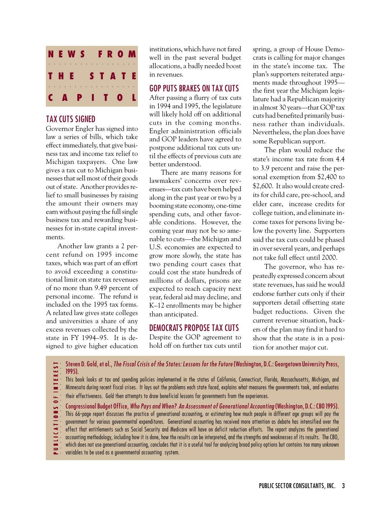

### TAX CUTS SIGNED

Governor Engler has signed into law a series of bills, which take effect immediately, that give business tax and income tax relief to Michigan taxpayers. One law gives a tax cut to Michigan businesses that sell most of their goods out of state. Another provides relief to small businesses by raising the amount their owners may earn without paying the full single business tax and rewarding businesses for in-state capital investments.

Another law grants a 2 percent refund on 1995 income taxes, which was part of an effort to avoid exceeding a constitutional limit on state tax revenues of no more than 9.49 percent of personal income. The refund is included on the 1995 tax forms. A related law gives state colleges and universities a share of any excess revenues collected by the state in FY 1994–95. It is designed to give higher education

institutions, which have not fared well in the past several budget allocations, a badly needed boost in revenues.

### GOP PUTS BRAKES ON TAX CUTS

After passing a flurry of tax cuts in 1994 and 1995, the legislature will likely hold off on additional cuts in the coming months. Engler administration officials and GOP leaders have agreed to postpone additional tax cuts until the effects of previous cuts are better understood.

There are many reasons for lawmakers' concerns over revenues—tax cuts have been helped along in the past year or two by a booming state economy, one-time spending cuts, and other favorable conditions. However, the coming year may not be so amenable to cuts—the Michigan and U.S. economies are expected to grow more slowly, the state has two pending court cases that could cost the state hundreds of millions of dollars, prisons are expected to reach capacity next year, federal aid may decline, and K–12 enrollments may be higher than anticipated.

## DEMOCRATS PROPOSE TAX CUTS

Despite the GOP agreement to hold off on further tax cuts until spring, a group of House Democrats is calling for major changes in the state's income tax. The plan's supporters reiterated arguments made throughout 1995 the first year the Michigan legislature had a Republican majority in almost 30 years—that GOP tax cuts had benefited primarily business rather than individuals. Nevertheless, the plan does have some Republican support.

The plan would reduce the state's income tax rate from 4.4 to 3.9 percent and raise the personal exemption from \$2,400 to \$2,600. It also would create credits for child care, pre-school, and elder care, increase credits for college tuition, and eliminate income taxes for persons living below the poverty line. Supporters said the tax cuts could be phased in over several years, and perhaps not take full effect until 2000.

The governor, who has repeatedly expressed concern about state revenues, has said he would endorse further cuts only if their supporters detail offsetting state budget reductions. Given the current revenue situation, backers of the plan may find it hard to show that the state is in a position for another major cut.

Steven D. Gold, et al., The Fiscal Crisis of the States: Lessons for the Future (Washington, D.C.: Georgetown University Press, **EREST** aaaaaaaaaaaaaaaaaa P U B L I C A T I O N S O F I N T E R E S T 1995). This book looks at tax and spending policies implemented in the states of California, Connecticut, Florida, Massachusetts, Michigan, and **DFINT** Minnesota during recent fiscal crises. It lays out the problems each state faced, explains what measures the governments took, and evaluates their effectiveness. Gold then attempts to draw beneficial lessons for governments from the experiences. Congressional Budget Office, Who Pays and When? An Assessment of Generational Accounting (Washington, D.C.: CBO 1995). LICATIONS This 66-page report discusses the practice of generational accounting, or estimating how much people in different age groups will pay the government for various governmental expenditures. Generational accounting has received more attention as debate has intensified over the effect that entitlements such as Social Security and Medicare will have on deficit reduction efforts. The report analyzes the generational accounting methodology, including how it is done, how the results can be interpreted, and the strengths and weaknesses of its results. The CBO, which does not use generational accounting, concludes that it is a useful tool for analyzing broad policy options but contains too many unknown variables to be used as a governmental accounting system.